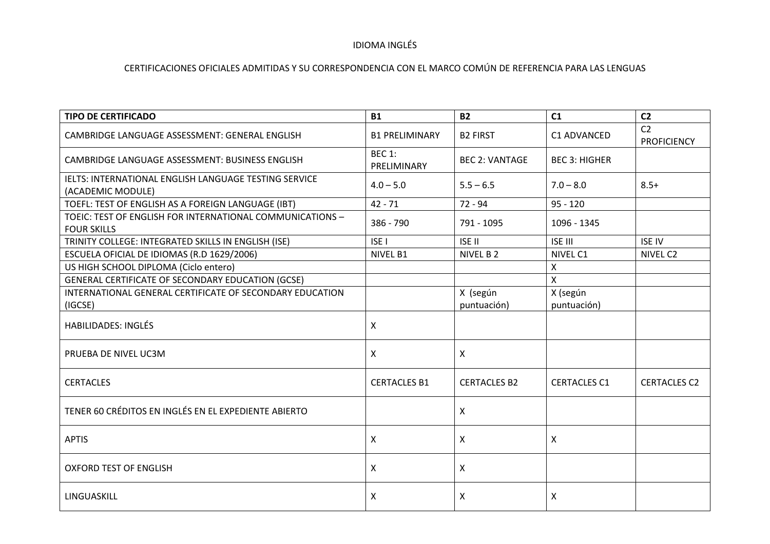# IDIOMA INGLÉS

| <b>TIPO DE CERTIFICADO</b>                                                      | <b>B1</b>                    | <b>B2</b>               | C1                      | C <sub>2</sub>                       |
|---------------------------------------------------------------------------------|------------------------------|-------------------------|-------------------------|--------------------------------------|
| CAMBRIDGE LANGUAGE ASSESSMENT: GENERAL ENGLISH                                  | <b>B1 PRELIMINARY</b>        | <b>B2 FIRST</b>         | C1 ADVANCED             | C <sub>2</sub><br><b>PROFICIENCY</b> |
| CAMBRIDGE LANGUAGE ASSESSMENT: BUSINESS ENGLISH                                 | <b>BEC 1:</b><br>PRELIMINARY | <b>BEC 2: VANTAGE</b>   | <b>BEC 3: HIGHER</b>    |                                      |
| IELTS: INTERNATIONAL ENGLISH LANGUAGE TESTING SERVICE<br>(ACADEMIC MODULE)      | $4.0 - 5.0$                  | $5.5 - 6.5$             | $7.0 - 8.0$             | $8.5+$                               |
| TOEFL: TEST OF ENGLISH AS A FOREIGN LANGUAGE (IBT)                              | $42 - 71$                    | $72 - 94$               | $95 - 120$              |                                      |
| TOEIC: TEST OF ENGLISH FOR INTERNATIONAL COMMUNICATIONS -<br><b>FOUR SKILLS</b> | 386 - 790                    | 791 - 1095              | 1096 - 1345             |                                      |
| TRINITY COLLEGE: INTEGRATED SKILLS IN ENGLISH (ISE)                             | <b>ISEI</b>                  | <b>ISE II</b>           | <b>ISE III</b>          | <b>ISE IV</b>                        |
| ESCUELA OFICIAL DE IDIOMAS (R.D 1629/2006)                                      | NIVEL B1                     | NIVEL B 2               | NIVEL C1                | NIVEL C2                             |
| US HIGH SCHOOL DIPLOMA (Ciclo entero)                                           |                              |                         | $\pmb{\mathsf{X}}$      |                                      |
| GENERAL CERTIFICATE OF SECONDARY EDUCATION (GCSE)                               |                              |                         | $\mathsf{X}$            |                                      |
| INTERNATIONAL GENERAL CERTIFICATE OF SECONDARY EDUCATION<br>(IGCSE)             |                              | X (según<br>puntuación) | X (según<br>puntuación) |                                      |
| <b>HABILIDADES: INGLÉS</b>                                                      | X                            |                         |                         |                                      |
| PRUEBA DE NIVEL UC3M                                                            | X.                           | $\mathsf{X}$            |                         |                                      |
| <b>CERTACLES</b>                                                                | <b>CERTACLES B1</b>          | <b>CERTACLES B2</b>     | <b>CERTACLES C1</b>     | <b>CERTACLES C2</b>                  |
| TENER 60 CRÉDITOS EN INGLÉS EN EL EXPEDIENTE ABIERTO                            |                              | $\pmb{\times}$          |                         |                                      |
| <b>APTIS</b>                                                                    | X                            | X                       | X                       |                                      |
| <b>OXFORD TEST OF ENGLISH</b>                                                   | X                            | $\mathsf{X}$            |                         |                                      |
| LINGUASKILL                                                                     | X                            | X                       | X                       |                                      |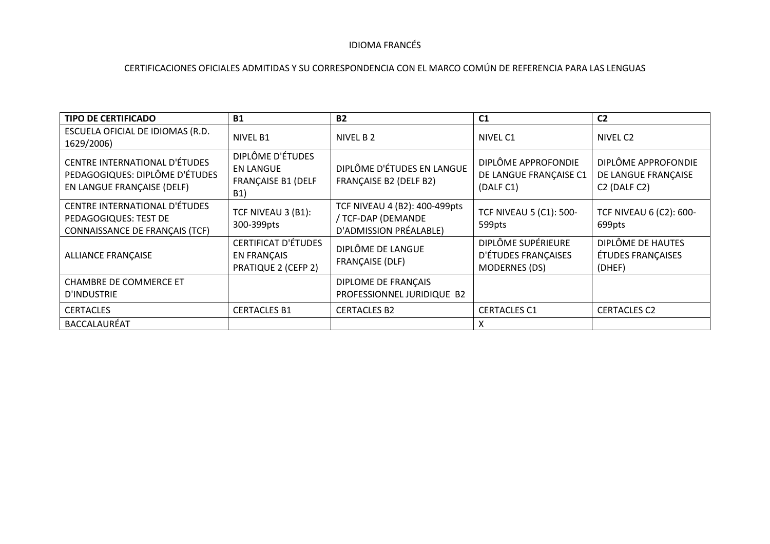#### IDIOMA FRANCÉS

| <b>TIPO DE CERTIFICADO</b>                                                                           | <b>B1</b>                                                                       | <b>B2</b>                                                                     | C <sub>1</sub>                                                    | C <sub>2</sub>                                                                      |
|------------------------------------------------------------------------------------------------------|---------------------------------------------------------------------------------|-------------------------------------------------------------------------------|-------------------------------------------------------------------|-------------------------------------------------------------------------------------|
| ESCUELA OFICIAL DE IDIOMAS (R.D.<br>1629/2006)                                                       | NIVEL B1                                                                        | NIVEL B 2                                                                     | NIVEL C1                                                          | NIVEL C2                                                                            |
| <b>CENTRE INTERNATIONAL D'ÉTUDES</b><br>PEDAGOGIQUES: DIPLÔME D'ÉTUDES<br>EN LANGUE FRANÇAISE (DELF) | DIPLÔME D'ÉTUDES<br><b>EN LANGUE</b><br><b>FRANÇAISE B1 (DELF</b><br><b>B1)</b> | DIPLÔME D'ÉTUDES EN LANGUE<br><b>FRANÇAISE B2 (DELF B2)</b>                   | DIPLÔME APPROFONDIE<br>DE LANGUE FRANÇAISE C1<br>(DALF C1)        | DIPLÔME APPROFONDIE<br>DE LANGUE FRANÇAISE<br>C <sub>2</sub> (DALF C <sub>2</sub> ) |
| CENTRE INTERNATIONAL D'ÉTUDES<br>PEDAGOGIQUES: TEST DE<br>CONNAISSANCE DE FRANÇAIS (TCF)             | TCF NIVEAU 3 (B1):<br>300-399pts                                                | TCF NIVEAU 4 (B2): 400-499pts<br>/ TCF-DAP (DEMANDE<br>D'ADMISSION PRÉALABLE) | <b>TCF NIVEAU 5 (C1): 500-</b><br>599pts                          | <b>TCF NIVEAU 6 (C2): 600-</b><br>699pts                                            |
| <b>ALLIANCE FRANÇAISE</b>                                                                            | <b>CERTIFICAT D'ÉTUDES</b><br><b>EN FRANÇAIS</b><br><b>PRATIQUE 2 (CEFP 2)</b>  | DIPLÔME DE LANGUE<br><b>FRANÇAISE (DLF)</b>                                   | DIPLÔME SUPÉRIEURE<br>D'ÉTUDES FRANÇAISES<br><b>MODERNES (DS)</b> | DIPLÔME DE HAUTES<br>ÉTUDES FRANÇAISES<br>(DHEF)                                    |
| <b>CHAMBRE DE COMMERCE ET</b><br>D'INDUSTRIE                                                         |                                                                                 | DIPLOME DE FRANÇAIS<br>PROFESSIONNEL JURIDIQUE B2                             |                                                                   |                                                                                     |
| <b>CERTACLES</b>                                                                                     | <b>CERTACLES B1</b>                                                             | <b>CERTACLES B2</b>                                                           | <b>CERTACLES C1</b>                                               | <b>CERTACLES C2</b>                                                                 |
| BACCALAURÉAT                                                                                         |                                                                                 |                                                                               | x                                                                 |                                                                                     |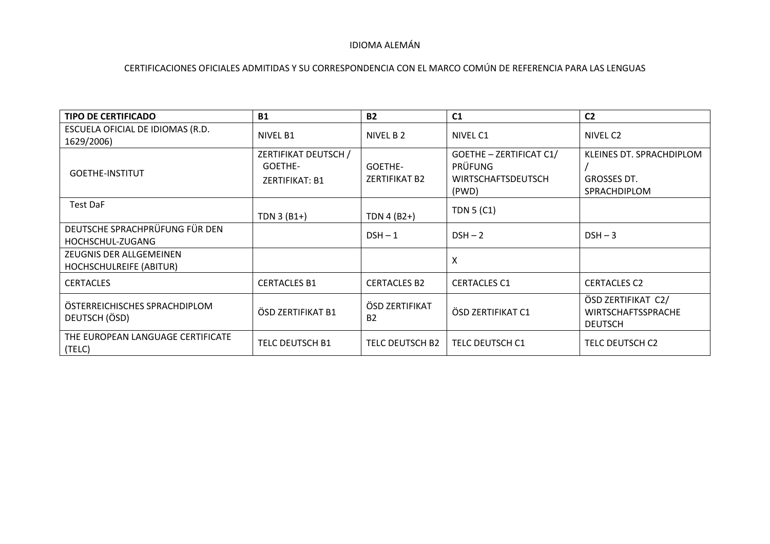## IDIOMA ALEMÁN

| <b>TIPO DE CERTIFICADO</b>                         | <b>B1</b>                                                | <b>B2</b>                       | C <sub>1</sub>                                                                  | C <sub>2</sub>                                                    |
|----------------------------------------------------|----------------------------------------------------------|---------------------------------|---------------------------------------------------------------------------------|-------------------------------------------------------------------|
| ESCUELA OFICIAL DE IDIOMAS (R.D.<br>1629/2006)     | <b>NIVEL B1</b>                                          | NIVEL B 2                       | NIVEL C1                                                                        | NIVEL C2                                                          |
| <b>GOETHE-INSTITUT</b>                             | ZERTIFIKAT DEUTSCH /<br>GOETHE-<br><b>ZERTIFIKAT: B1</b> | GOETHE-<br><b>ZERTIFIKAT B2</b> | GOETHE - ZERTIFICAT C1/<br><b>PRÜFUNG</b><br><b>WIRTSCHAFTSDEUTSCH</b><br>(PWD) | KLEINES DT. SPRACHDIPLOM<br><b>GROSSES DT.</b><br>SPRACHDIPLOM    |
| Test DaF                                           | TDN 3 (B1+)                                              | TDN 4 $(B2+)$                   | <b>TDN 5 (C1)</b>                                                               |                                                                   |
| DEUTSCHE SPRACHPRÜFUNG FÜR DEN<br>HOCHSCHUL-ZUGANG |                                                          | $DSH - 1$                       | $DSH - 2$                                                                       | $DSH - 3$                                                         |
| ZEUGNIS DER ALLGEMEINEN<br>HOCHSCHULREIFE (ABITUR) |                                                          |                                 | X                                                                               |                                                                   |
| <b>CERTACLES</b>                                   | <b>CERTACLES B1</b>                                      | <b>CERTACLES B2</b>             | <b>CERTACLES C1</b>                                                             | <b>CERTACLES C2</b>                                               |
| ÖSTERREICHISCHES SPRACHDIPLOM<br>DEUTSCH (ÖSD)     | ÖSD ZERTIFIKAT B1                                        | ÖSD ZERTIFIKAT<br><b>B2</b>     | ÖSD ZERTIFIKAT C1                                                               | ÖSD ZERTIFIKAT C2/<br><b>WIRTSCHAFTSSPRACHE</b><br><b>DEUTSCH</b> |
| THE EUROPEAN LANGUAGE CERTIFICATE<br>(TELC)        | TELC DEUTSCH B1                                          | TELC DEUTSCH B2                 | TELC DEUTSCH C1                                                                 | TELC DEUTSCH C2                                                   |